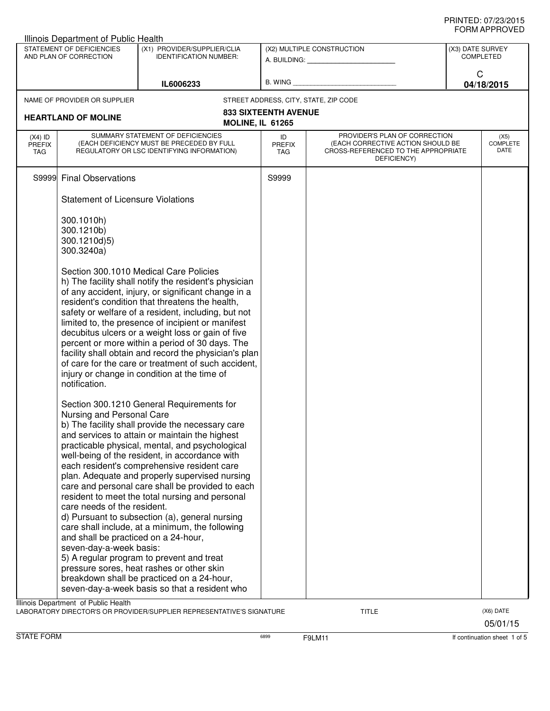| Illinois Department of Public Health |                                              |                                                                                                      |                             |                                                                          |                  |                         |  |
|--------------------------------------|----------------------------------------------|------------------------------------------------------------------------------------------------------|-----------------------------|--------------------------------------------------------------------------|------------------|-------------------------|--|
|                                      | STATEMENT OF DEFICIENCIES                    | (X1) PROVIDER/SUPPLIER/CLIA                                                                          |                             | (X2) MULTIPLE CONSTRUCTION                                               | (X3) DATE SURVEY |                         |  |
|                                      | AND PLAN OF CORRECTION                       | <b>IDENTIFICATION NUMBER:</b>                                                                        |                             |                                                                          |                  | <b>COMPLETED</b>        |  |
|                                      |                                              |                                                                                                      |                             |                                                                          | C                |                         |  |
|                                      |                                              | IL6006233                                                                                            | $B.$ WING $\_$              |                                                                          |                  | 04/18/2015              |  |
|                                      | NAME OF PROVIDER OR SUPPLIER                 |                                                                                                      |                             | STREET ADDRESS, CITY, STATE, ZIP CODE                                    |                  |                         |  |
|                                      |                                              |                                                                                                      | <b>833 SIXTEENTH AVENUE</b> |                                                                          |                  |                         |  |
|                                      | <b>HEARTLAND OF MOLINE</b>                   | <b>MOLINE, IL 61265</b>                                                                              |                             |                                                                          |                  |                         |  |
| $(X4)$ ID                            |                                              | SUMMARY STATEMENT OF DEFICIENCIES                                                                    | ID                          | PROVIDER'S PLAN OF CORRECTION                                            |                  | (X5)                    |  |
| <b>PREFIX</b><br>TAG                 |                                              | (EACH DEFICIENCY MUST BE PRECEDED BY FULL<br>REGULATORY OR LSC IDENTIFYING INFORMATION)              | <b>PREFIX</b><br><b>TAG</b> | (EACH CORRECTIVE ACTION SHOULD BE<br>CROSS-REFERENCED TO THE APPROPRIATE |                  | <b>COMPLETE</b><br>DATE |  |
|                                      |                                              |                                                                                                      |                             | DEFICIENCY)                                                              |                  |                         |  |
|                                      | S9999 Final Observations                     |                                                                                                      | S9999                       |                                                                          |                  |                         |  |
|                                      |                                              |                                                                                                      |                             |                                                                          |                  |                         |  |
|                                      | <b>Statement of Licensure Violations</b>     |                                                                                                      |                             |                                                                          |                  |                         |  |
|                                      |                                              |                                                                                                      |                             |                                                                          |                  |                         |  |
|                                      | 300.1010h)                                   |                                                                                                      |                             |                                                                          |                  |                         |  |
|                                      | 300.1210b)                                   |                                                                                                      |                             |                                                                          |                  |                         |  |
|                                      | 300.1210d)5)                                 |                                                                                                      |                             |                                                                          |                  |                         |  |
|                                      | 300.3240a)                                   |                                                                                                      |                             |                                                                          |                  |                         |  |
|                                      |                                              | Section 300.1010 Medical Care Policies                                                               |                             |                                                                          |                  |                         |  |
|                                      |                                              | h) The facility shall notify the resident's physician                                                |                             |                                                                          |                  |                         |  |
|                                      |                                              | of any accident, injury, or significant change in a                                                  |                             |                                                                          |                  |                         |  |
|                                      |                                              | resident's condition that threatens the health,                                                      |                             |                                                                          |                  |                         |  |
|                                      |                                              | safety or welfare of a resident, including, but not                                                  |                             |                                                                          |                  |                         |  |
|                                      |                                              | limited to, the presence of incipient or manifest                                                    |                             |                                                                          |                  |                         |  |
|                                      |                                              | decubitus ulcers or a weight loss or gain of five<br>percent or more within a period of 30 days. The |                             |                                                                          |                  |                         |  |
|                                      |                                              | facility shall obtain and record the physician's plan                                                |                             |                                                                          |                  |                         |  |
|                                      |                                              | of care for the care or treatment of such accident,                                                  |                             |                                                                          |                  |                         |  |
|                                      | injury or change in condition at the time of |                                                                                                      |                             |                                                                          |                  |                         |  |
|                                      | notification.                                |                                                                                                      |                             |                                                                          |                  |                         |  |
|                                      |                                              |                                                                                                      |                             |                                                                          |                  |                         |  |
|                                      |                                              | Section 300.1210 General Requirements for                                                            |                             |                                                                          |                  |                         |  |
|                                      | Nursing and Personal Care                    | b) The facility shall provide the necessary care                                                     |                             |                                                                          |                  |                         |  |
|                                      |                                              | and services to attain or maintain the highest                                                       |                             |                                                                          |                  |                         |  |
|                                      |                                              | practicable physical, mental, and psychological                                                      |                             |                                                                          |                  |                         |  |
|                                      |                                              | well-being of the resident, in accordance with                                                       |                             |                                                                          |                  |                         |  |
|                                      |                                              | each resident's comprehensive resident care                                                          |                             |                                                                          |                  |                         |  |
|                                      |                                              | plan. Adequate and properly supervised nursing                                                       |                             |                                                                          |                  |                         |  |
|                                      |                                              | care and personal care shall be provided to each                                                     |                             |                                                                          |                  |                         |  |
|                                      | care needs of the resident.                  | resident to meet the total nursing and personal                                                      |                             |                                                                          |                  |                         |  |
|                                      |                                              | d) Pursuant to subsection (a), general nursing                                                       |                             |                                                                          |                  |                         |  |
|                                      |                                              | care shall include, at a minimum, the following                                                      |                             |                                                                          |                  |                         |  |
|                                      | and shall be practiced on a 24-hour,         |                                                                                                      |                             |                                                                          |                  |                         |  |
|                                      | seven-day-a-week basis:                      |                                                                                                      |                             |                                                                          |                  |                         |  |
|                                      |                                              | 5) A regular program to prevent and treat                                                            |                             |                                                                          |                  |                         |  |
|                                      |                                              | pressure sores, heat rashes or other skin                                                            |                             |                                                                          |                  |                         |  |
|                                      |                                              | breakdown shall be practiced on a 24-hour,<br>seven-day-a-week basis so that a resident who          |                             |                                                                          |                  |                         |  |
|                                      |                                              |                                                                                                      |                             |                                                                          |                  |                         |  |
|                                      | Illinois Department of Public Health         | LABORATORY DIRECTOR'S OR PROVIDER/SUPPLIER REPRESENTATIVE'S SIGNATURE                                |                             | <b>TITLE</b>                                                             |                  | (X6) DATE               |  |

05/01/15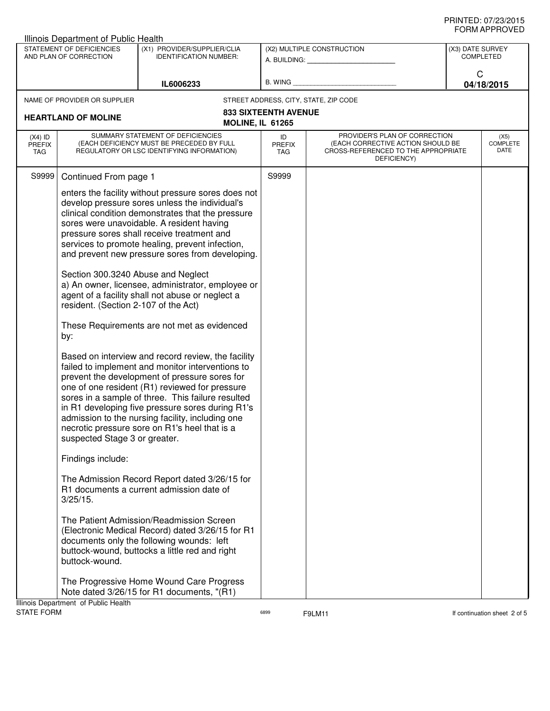| STATEMENT OF DEFICIENCIES<br>(X1) PROVIDER/SUPPLIER/CLIA<br>(X2) MULTIPLE CONSTRUCTION<br>AND PLAN OF CORRECTION<br><b>IDENTIFICATION NUMBER:</b><br>A. BUILDING: A. BUILDING:<br>C<br>B. WING<br>IL6006233<br>NAME OF PROVIDER OR SUPPLIER<br>STREET ADDRESS, CITY, STATE, ZIP CODE<br><b>833 SIXTEENTH AVENUE</b><br><b>HEARTLAND OF MOLINE</b><br><b>MOLINE, IL 61265</b><br>SUMMARY STATEMENT OF DEFICIENCIES<br>PROVIDER'S PLAN OF CORRECTION<br>$(X4)$ ID<br>ID<br>(EACH DEFICIENCY MUST BE PRECEDED BY FULL<br>(EACH CORRECTIVE ACTION SHOULD BE<br><b>PREFIX</b><br><b>PREFIX</b><br>REGULATORY OR LSC IDENTIFYING INFORMATION)<br>CROSS-REFERENCED TO THE APPROPRIATE<br>TAG<br>TAG<br>DEFICIENCY)<br>S9999<br>S9999<br>Continued From page 1<br>enters the facility without pressure sores does not<br>develop pressure sores unless the individual's                                                                                                                                                                                                                                                                                                                                                                                                                                               | <b>Illinois Department of Public Health</b> |  |  |  |  |  |  |
|---------------------------------------------------------------------------------------------------------------------------------------------------------------------------------------------------------------------------------------------------------------------------------------------------------------------------------------------------------------------------------------------------------------------------------------------------------------------------------------------------------------------------------------------------------------------------------------------------------------------------------------------------------------------------------------------------------------------------------------------------------------------------------------------------------------------------------------------------------------------------------------------------------------------------------------------------------------------------------------------------------------------------------------------------------------------------------------------------------------------------------------------------------------------------------------------------------------------------------------------------------------------------------------------------------------|---------------------------------------------|--|--|--|--|--|--|
|                                                                                                                                                                                                                                                                                                                                                                                                                                                                                                                                                                                                                                                                                                                                                                                                                                                                                                                                                                                                                                                                                                                                                                                                                                                                                                               | (X3) DATE SURVEY<br><b>COMPLETED</b>        |  |  |  |  |  |  |
|                                                                                                                                                                                                                                                                                                                                                                                                                                                                                                                                                                                                                                                                                                                                                                                                                                                                                                                                                                                                                                                                                                                                                                                                                                                                                                               | 04/18/2015                                  |  |  |  |  |  |  |
|                                                                                                                                                                                                                                                                                                                                                                                                                                                                                                                                                                                                                                                                                                                                                                                                                                                                                                                                                                                                                                                                                                                                                                                                                                                                                                               |                                             |  |  |  |  |  |  |
|                                                                                                                                                                                                                                                                                                                                                                                                                                                                                                                                                                                                                                                                                                                                                                                                                                                                                                                                                                                                                                                                                                                                                                                                                                                                                                               |                                             |  |  |  |  |  |  |
|                                                                                                                                                                                                                                                                                                                                                                                                                                                                                                                                                                                                                                                                                                                                                                                                                                                                                                                                                                                                                                                                                                                                                                                                                                                                                                               | (X5)<br><b>COMPLETE</b><br>DATE             |  |  |  |  |  |  |
|                                                                                                                                                                                                                                                                                                                                                                                                                                                                                                                                                                                                                                                                                                                                                                                                                                                                                                                                                                                                                                                                                                                                                                                                                                                                                                               |                                             |  |  |  |  |  |  |
| clinical condition demonstrates that the pressure<br>sores were unavoidable. A resident having<br>pressure sores shall receive treatment and<br>services to promote healing, prevent infection,<br>and prevent new pressure sores from developing.<br>Section 300.3240 Abuse and Neglect<br>a) An owner, licensee, administrator, employee or<br>agent of a facility shall not abuse or neglect a<br>resident. (Section 2-107 of the Act)<br>These Requirements are not met as evidenced<br>by:<br>Based on interview and record review, the facility<br>failed to implement and monitor interventions to<br>prevent the development of pressure sores for<br>one of one resident (R1) reviewed for pressure<br>sores in a sample of three. This failure resulted<br>in R1 developing five pressure sores during R1's<br>admission to the nursing facility, including one<br>necrotic pressure sore on R1's heel that is a<br>suspected Stage 3 or greater.<br>Findings include:<br>The Admission Record Report dated 3/26/15 for<br>R1 documents a current admission date of<br>$3/25/15$ .<br>The Patient Admission/Readmission Screen<br>(Electronic Medical Record) dated 3/26/15 for R1<br>documents only the following wounds: left<br>buttock-wound, buttocks a little red and right<br>buttock-wound. |                                             |  |  |  |  |  |  |
| The Progressive Home Wound Care Progress<br>Note dated 3/26/15 for R1 documents, "(R1)<br>Illinois Department of Public Health                                                                                                                                                                                                                                                                                                                                                                                                                                                                                                                                                                                                                                                                                                                                                                                                                                                                                                                                                                                                                                                                                                                                                                                |                                             |  |  |  |  |  |  |

STATE FORM **EXAMPLE 19** F9LM11 **6899** F9LM11 **CONTAINS FORM If continuation sheet 2 of 5**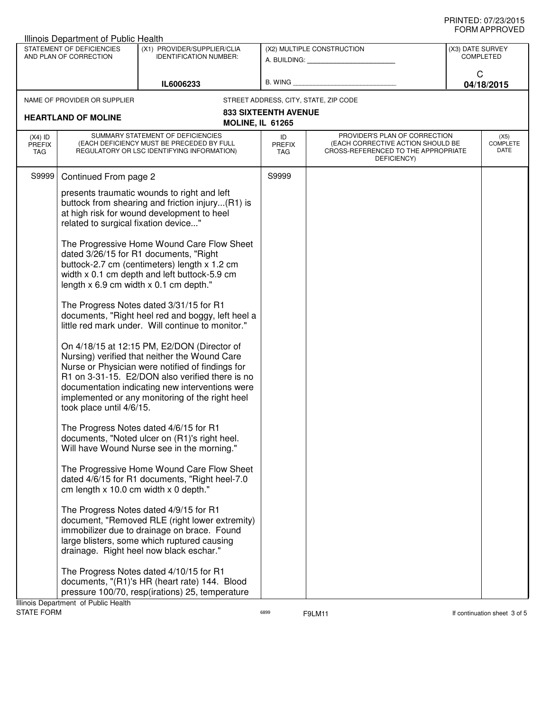| Illinois Department of Public Health                                                                                |                                                                                                                                                                                                                                    |                                                                                                                                                                                                                                                                                                           |                             |                                                                                                                          |            |                                 |
|---------------------------------------------------------------------------------------------------------------------|------------------------------------------------------------------------------------------------------------------------------------------------------------------------------------------------------------------------------------|-----------------------------------------------------------------------------------------------------------------------------------------------------------------------------------------------------------------------------------------------------------------------------------------------------------|-----------------------------|--------------------------------------------------------------------------------------------------------------------------|------------|---------------------------------|
| STATEMENT OF DEFICIENCIES<br>(X1) PROVIDER/SUPPLIER/CLIA<br>AND PLAN OF CORRECTION<br><b>IDENTIFICATION NUMBER:</b> |                                                                                                                                                                                                                                    |                                                                                                                                                                                                                                                                                                           | (X2) MULTIPLE CONSTRUCTION  | (X3) DATE SURVEY<br><b>COMPLETED</b>                                                                                     |            |                                 |
|                                                                                                                     |                                                                                                                                                                                                                                    |                                                                                                                                                                                                                                                                                                           | A. BUILDING: A. BUILDING:   |                                                                                                                          | C          |                                 |
| IL6006233                                                                                                           |                                                                                                                                                                                                                                    | B. WING                                                                                                                                                                                                                                                                                                   |                             |                                                                                                                          | 04/18/2015 |                                 |
|                                                                                                                     | NAME OF PROVIDER OR SUPPLIER                                                                                                                                                                                                       |                                                                                                                                                                                                                                                                                                           |                             | STREET ADDRESS, CITY, STATE, ZIP CODE                                                                                    |            |                                 |
|                                                                                                                     | <b>HEARTLAND OF MOLINE</b>                                                                                                                                                                                                         | <b>MOLINE, IL 61265</b>                                                                                                                                                                                                                                                                                   | <b>833 SIXTEENTH AVENUE</b> |                                                                                                                          |            |                                 |
| $(X4)$ ID<br>PREFIX<br>TAG                                                                                          |                                                                                                                                                                                                                                    | SUMMARY STATEMENT OF DEFICIENCIES<br>(EACH DEFICIENCY MUST BE PRECEDED BY FULL<br>REGULATORY OR LSC IDENTIFYING INFORMATION)                                                                                                                                                                              | ID<br><b>PREFIX</b><br>TAG  | PROVIDER'S PLAN OF CORRECTION<br>(EACH CORRECTIVE ACTION SHOULD BE<br>CROSS-REFERENCED TO THE APPROPRIATE<br>DEFICIENCY) |            | (X5)<br><b>COMPLETE</b><br>DATE |
| S9999                                                                                                               | Continued From page 2                                                                                                                                                                                                              |                                                                                                                                                                                                                                                                                                           | S9999                       |                                                                                                                          |            |                                 |
|                                                                                                                     | presents traumatic wounds to right and left<br>buttock from shearing and friction injury(R1) is<br>at high risk for wound development to heel<br>related to surgical fixation device"                                              |                                                                                                                                                                                                                                                                                                           |                             |                                                                                                                          |            |                                 |
|                                                                                                                     | The Progressive Home Wound Care Flow Sheet<br>dated 3/26/15 for R1 documents, "Right<br>buttock-2.7 cm (centimeters) length x 1.2 cm<br>width x 0.1 cm depth and left buttock-5.9 cm<br>length $x$ 6.9 cm width $x$ 0.1 cm depth." |                                                                                                                                                                                                                                                                                                           |                             |                                                                                                                          |            |                                 |
|                                                                                                                     |                                                                                                                                                                                                                                    | The Progress Notes dated 3/31/15 for R1<br>documents, "Right heel red and boggy, left heel a<br>little red mark under. Will continue to monitor."                                                                                                                                                         |                             |                                                                                                                          |            |                                 |
|                                                                                                                     | took place until 4/6/15.                                                                                                                                                                                                           | On 4/18/15 at 12:15 PM, E2/DON (Director of<br>Nursing) verified that neither the Wound Care<br>Nurse or Physician were notified of findings for<br>R1 on 3-31-15. E2/DON also verified there is no<br>documentation indicating new interventions were<br>implemented or any monitoring of the right heel |                             |                                                                                                                          |            |                                 |
|                                                                                                                     |                                                                                                                                                                                                                                    | The Progress Notes dated 4/6/15 for R1<br>documents, "Noted ulcer on (R1)'s right heel.<br>Will have Wound Nurse see in the morning."                                                                                                                                                                     |                             |                                                                                                                          |            |                                 |
|                                                                                                                     | cm length x 10.0 cm width x 0 depth."                                                                                                                                                                                              | The Progressive Home Wound Care Flow Sheet<br>dated 4/6/15 for R1 documents, "Right heel-7.0                                                                                                                                                                                                              |                             |                                                                                                                          |            |                                 |
|                                                                                                                     |                                                                                                                                                                                                                                    | The Progress Notes dated 4/9/15 for R1<br>document, "Removed RLE (right lower extremity)<br>immobilizer due to drainage on brace. Found<br>large blisters, some which ruptured causing<br>drainage. Right heel now black eschar."                                                                         |                             |                                                                                                                          |            |                                 |
|                                                                                                                     | Ilinois Denartment of Public Health                                                                                                                                                                                                | The Progress Notes dated 4/10/15 for R1<br>documents, "(R1)'s HR (heart rate) 144. Blood<br>pressure 100/70, resp(irations) 25, temperature                                                                                                                                                               |                             |                                                                                                                          |            |                                 |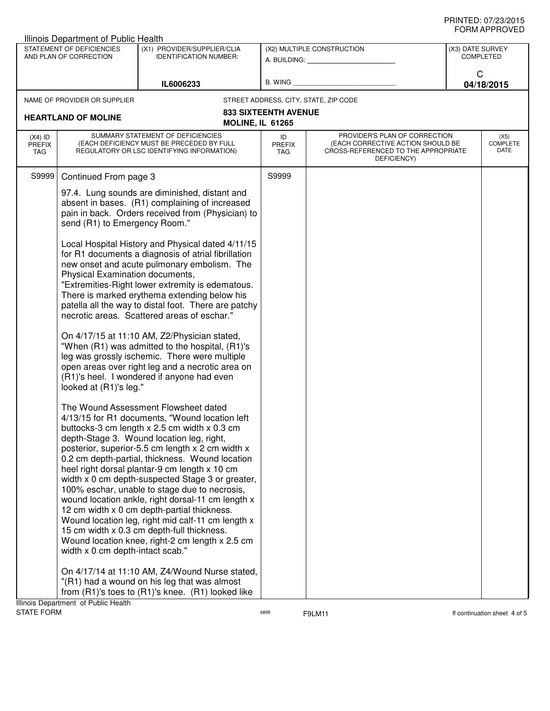| <b>Illinois Department of Public Health</b>                                                                         |                                                                                                                                                                                       |                                                                                                                                                                                                                                                                                                                                                                                                                                                                                                                                                                                                                                                                                                                                                                                                                                                                                                                                                                                                                                                                                                                                                                                                                                                                                     |                                                         |                                                                                                                          |  |                                 |  |
|---------------------------------------------------------------------------------------------------------------------|---------------------------------------------------------------------------------------------------------------------------------------------------------------------------------------|-------------------------------------------------------------------------------------------------------------------------------------------------------------------------------------------------------------------------------------------------------------------------------------------------------------------------------------------------------------------------------------------------------------------------------------------------------------------------------------------------------------------------------------------------------------------------------------------------------------------------------------------------------------------------------------------------------------------------------------------------------------------------------------------------------------------------------------------------------------------------------------------------------------------------------------------------------------------------------------------------------------------------------------------------------------------------------------------------------------------------------------------------------------------------------------------------------------------------------------------------------------------------------------|---------------------------------------------------------|--------------------------------------------------------------------------------------------------------------------------|--|---------------------------------|--|
| STATEMENT OF DEFICIENCIES<br>(X1) PROVIDER/SUPPLIER/CLIA<br>AND PLAN OF CORRECTION<br><b>IDENTIFICATION NUMBER:</b> |                                                                                                                                                                                       |                                                                                                                                                                                                                                                                                                                                                                                                                                                                                                                                                                                                                                                                                                                                                                                                                                                                                                                                                                                                                                                                                                                                                                                                                                                                                     | (X2) MULTIPLE CONSTRUCTION<br>A. BUILDING: A. BUILDING: | (X3) DATE SURVEY<br>COMPLETED                                                                                            |  |                                 |  |
| IL6006233                                                                                                           |                                                                                                                                                                                       | B. WING                                                                                                                                                                                                                                                                                                                                                                                                                                                                                                                                                                                                                                                                                                                                                                                                                                                                                                                                                                                                                                                                                                                                                                                                                                                                             |                                                         | C<br>04/18/2015                                                                                                          |  |                                 |  |
|                                                                                                                     | NAME OF PROVIDER OR SUPPLIER                                                                                                                                                          |                                                                                                                                                                                                                                                                                                                                                                                                                                                                                                                                                                                                                                                                                                                                                                                                                                                                                                                                                                                                                                                                                                                                                                                                                                                                                     |                                                         | STREET ADDRESS, CITY, STATE, ZIP CODE                                                                                    |  |                                 |  |
|                                                                                                                     | <b>HEARTLAND OF MOLINE</b>                                                                                                                                                            | <b>MOLINE, IL 61265</b>                                                                                                                                                                                                                                                                                                                                                                                                                                                                                                                                                                                                                                                                                                                                                                                                                                                                                                                                                                                                                                                                                                                                                                                                                                                             | <b>833 SIXTEENTH AVENUE</b>                             |                                                                                                                          |  |                                 |  |
| $(X4)$ ID<br><b>PREFIX</b><br>TAG                                                                                   |                                                                                                                                                                                       | SUMMARY STATEMENT OF DEFICIENCIES<br>(EACH DEFICIENCY MUST BE PRECEDED BY FULL<br>REGULATORY OR LSC IDENTIFYING INFORMATION)                                                                                                                                                                                                                                                                                                                                                                                                                                                                                                                                                                                                                                                                                                                                                                                                                                                                                                                                                                                                                                                                                                                                                        | ID<br><b>PREFIX</b><br>TAG                              | PROVIDER'S PLAN OF CORRECTION<br>(EACH CORRECTIVE ACTION SHOULD BE<br>CROSS-REFERENCED TO THE APPROPRIATE<br>DEFICIENCY) |  | (X5)<br><b>COMPLETE</b><br>DATE |  |
| S9999                                                                                                               | Continued From page 3                                                                                                                                                                 |                                                                                                                                                                                                                                                                                                                                                                                                                                                                                                                                                                                                                                                                                                                                                                                                                                                                                                                                                                                                                                                                                                                                                                                                                                                                                     | S9999                                                   |                                                                                                                          |  |                                 |  |
|                                                                                                                     | 97.4. Lung sounds are diminished, distant and<br>absent in bases. (R1) complaining of increased<br>pain in back. Orders received from (Physician) to<br>send (R1) to Emergency Room." |                                                                                                                                                                                                                                                                                                                                                                                                                                                                                                                                                                                                                                                                                                                                                                                                                                                                                                                                                                                                                                                                                                                                                                                                                                                                                     |                                                         |                                                                                                                          |  |                                 |  |
|                                                                                                                     | Physical Examination documents,<br>looked at (R1)'s leg."                                                                                                                             | Local Hospital History and Physical dated 4/11/15<br>for R1 documents a diagnosis of atrial fibrillation<br>new onset and acute pulmonary embolism. The<br>"Extremities-Right lower extremity is edematous.<br>There is marked erythema extending below his<br>patella all the way to distal foot. There are patchy<br>necrotic areas. Scattered areas of eschar."<br>On 4/17/15 at 11:10 AM, Z2/Physician stated,<br>"When (R1) was admitted to the hospital, (R1)'s<br>leg was grossly ischemic. There were multiple<br>open areas over right leg and a necrotic area on<br>(R1)'s heel. I wondered if anyone had even<br>The Wound Assessment Flowsheet dated<br>4/13/15 for R1 documents, "Wound location left<br>buttocks-3 cm length x 2.5 cm width x 0.3 cm<br>depth-Stage 3. Wound location leg, right,<br>posterior, superior-5.5 cm length x 2 cm width x<br>0.2 cm depth-partial, thickness. Wound location<br>heel right dorsal plantar-9 cm length x 10 cm<br>width x 0 cm depth-suspected Stage 3 or greater,<br>100% eschar, unable to stage due to necrosis,<br>wound location ankle, right dorsal-11 cm length x<br>12 cm width x 0 cm depth-partial thickness.<br>Wound location leg, right mid calf-11 cm length x<br>15 cm width x 0.3 cm depth-full thickness. |                                                         |                                                                                                                          |  |                                 |  |
|                                                                                                                     | width x 0 cm depth-intact scab."<br>Illinois Department of Public Health                                                                                                              | Wound location knee, right-2 cm length x 2.5 cm<br>On 4/17/14 at 11:10 AM, Z4/Wound Nurse stated,<br>"(R1) had a wound on his leg that was almost<br>from (R1)'s toes to (R1)'s knee. (R1) looked like                                                                                                                                                                                                                                                                                                                                                                                                                                                                                                                                                                                                                                                                                                                                                                                                                                                                                                                                                                                                                                                                              |                                                         |                                                                                                                          |  |                                 |  |